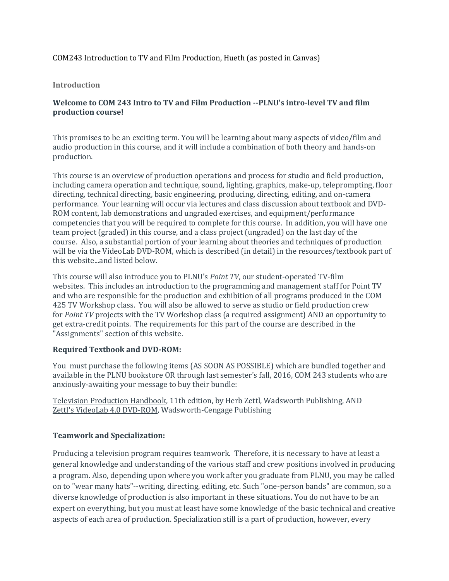# COM243 Introduction to TV and Film Production, Hueth (as posted in Canvas)

### **Introduction**

# **Welcome to COM 243 Intro to TV and Film Production --PLNU's intro-level TV and film production course!**

This promises to be an exciting term. You will be learning about many aspects of video/film and audio production in this course, and it will include a combination of both theory and hands-on production.

This course is an overview of production operations and process for studio and field production, including camera operation and technique, sound, lighting, graphics, make-up, teleprompting, floor directing, technical directing, basic engineering, producing, directing, editing, and on-camera performance. Your learning will occur via lectures and class discussion about textbook and DVD-ROM content, lab demonstrations and ungraded exercises, and equipment/performance competencies that you will be required to complete for this course. In addition, you will have one team project (graded) in this course, and a class project (ungraded) on the last day of the course. Also, a substantial portion of your learning about theories and techniques of production will be via the VideoLab DVD-ROM, which is described (in detail) in the resources/textbook part of this website...and listed below.

This course will also introduce you to PLNU's *Point TV*, our student-operated TV-film websites. This includes an introduction to the programming and management staff for Point TV and who are responsible for the production and exhibition of all programs produced in the COM 425 TV Workshop class. You will also be allowed to serve as studio or field production crew for *Point TV* projects with the TV Workshop class (a required assignment) AND an opportunity to get extra-credit points. The requirements for this part of the course are described in the "Assignments" section of this website.

### **Required Textbook and DVD-ROM:**

You must purchase the following items (AS SOON AS POSSIBLE) which are bundled together and available in the PLNU bookstore OR through last semester's fall, 2016, COM 243 students who are anxiously-awaiting your message to buy their bundle:

Television Production Handbook, 11th edition, by Herb Zettl, Wadsworth Publishing, AND Zettl's VideoLab 4.0 DVD-ROM, Wadsworth-Cengage Publishing

# **Teamwork and Specialization:**

Producing a television program requires teamwork. Therefore, it is necessary to have at least a general knowledge and understanding of the various staff and crew positions involved in producing a program. Also, depending upon where you work after you graduate from PLNU, you may be called on to "wear many hats"--writing, directing, editing, etc. Such "one-person bands" are common, so a diverse knowledge of production is also important in these situations. You do not have to be an expert on everything, but you must at least have some knowledge of the basic technical and creative aspects of each area of production. Specialization still is a part of production, however, every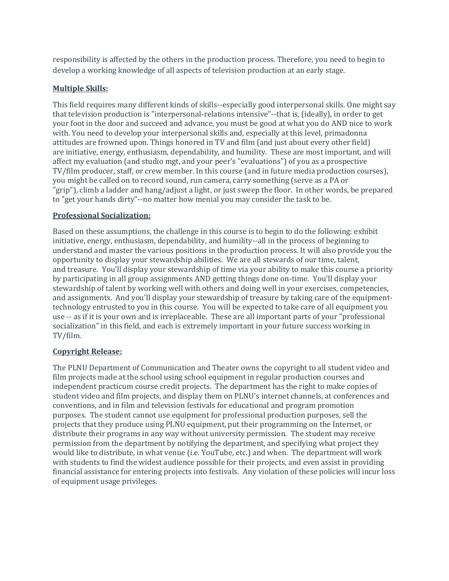responsibility is affected by the others in the production process. Therefore, you need to begin to develop a working knowledge of all aspects of television production at an early stage.

# **Multiple Skills:**

This field requires many different kinds of skills--especially good interpersonal skills. One might say that television production is "interpersonal-relations intensive"--that is, (ideally), in order to get your foot in the door and succeed and advance, you must be good at what you do AND nice to work with. You need to develop your interpersonal skills and, especially at this level, primadonna attitudes are frowned upon. Things honored in TV and film (and just about every other field) are initiative, energy, enthusiasm, dependability, and humility. These are most important, and will affect my evaluation (and studio mgt, and your peer's "evaluations") of you as a prospective TV/film producer, staff, or crew member. In this course (and in future media production courses), you might be called on to record sound, run camera, carry something (serve as a PA or "grip"), climb a ladder and hang/adjust a light, or just sweep the floor. In other words, be prepared to "get your hands dirty"--no matter how menial you may consider the task to be.

# **Professional Socialization:**

Based on these assumptions, the challenge in this course is to begin to do the following: exhibit initiative, energy, enthusiasm, dependability, and humility--all in the process of beginning to understand and master the various positions in the production process. It will also provide you the opportunity to display your stewardship abilities. We are all stewards of our time, talent, and treasure. You'll display your stewardship of time via your ability to make this course a priority by participating in all group assignments AND getting things done on-time. You'll display your stewardship of talent by working well with others and doing well in your exercises, competencies, and assignments. And you'll display your stewardship of treasure by taking care of the equipmenttechnology entrusted to you in this course. You will be expected to take care of all equipment you use -- as if it is your own and is irreplaceable. These are all important parts of your "professional socialization" in this field, and each is extremely important in your future success working in TV/film.

# **Copyright Release:**

The PLNU Department of Communication and Theater owns the copyright to all student video and film projects made at the school using school equipment in regular production courses and independent practicum course credit projects. The department has the right to make copies of student video and film projects, and display them on PLNU's internet channels, at conferences and conventions, and in film and television festivals for educational and program promotion purposes. The student cannot use equipment for professional production purposes, sell the projects that they produce using PLNU equipment, put their programming on the Internet, or distribute their programs in any way without university permission. The student may receive permission from the department by notifying the department, and specifying what project they would like to distribute, in what venue (i.e. YouTube, etc.) and when. The department will work with students to find the widest audience possible for their projects, and even assist in providing financial assistance for entering projects into festivals. Any violation of these policies will incur loss of equipment usage privileges.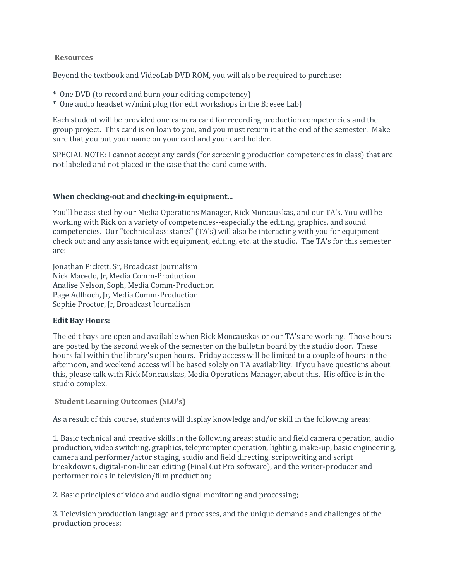## **Resources**

Beyond the textbook and VideoLab DVD ROM, you will also be required to purchase:

- \* One DVD (to record and burn your editing competency)
- \* One audio headset w/mini plug (for edit workshops in the Bresee Lab)

Each student will be provided one camera card for recording production competencies and the group project. This card is on loan to you, and you must return it at the end of the semester. Make sure that you put your name on your card and your card holder.

SPECIAL NOTE: I cannot accept any cards (for screening production competencies in class) that are not labeled and not placed in the case that the card came with.

## **When checking-out and checking-in equipment...**

You'll be assisted by our Media Operations Manager, Rick Moncauskas, and our TA's. You will be working with Rick on a variety of competencies--especially the editing, graphics, and sound competencies. Our "technical assistants" (TA's) will also be interacting with you for equipment check out and any assistance with equipment, editing, etc. at the studio. The TA's for this semester are:

Jonathan Pickett, Sr, Broadcast Journalism Nick Macedo, Jr, Media Comm-Production Analise Nelson, Soph, Media Comm-Production Page Adlhoch, Jr, Media Comm-Production Sophie Proctor, Jr, Broadcast Journalism

# **Edit Bay Hours:**

The edit bays are open and available when Rick Moncauskas or our TA's are working. Those hours are posted by the second week of the semester on the bulletin board by the studio door. These hours fall within the library's open hours. Friday access will be limited to a couple of hours in the afternoon, and weekend access will be based solely on TA availability. If you have questions about this, please talk with Rick Moncauskas, Media Operations Manager, about this. His office is in the studio complex.

**Student Learning Outcomes (SLO's)**

As a result of this course, students will display knowledge and/or skill in the following areas:

1. Basic technical and creative skills in the following areas: studio and field camera operation, audio production, video switching, graphics, teleprompter operation, lighting, make-up, basic engineering, camera and performer/actor staging, studio and field directing, scriptwriting and script breakdowns, digital-non-linear editing (Final Cut Pro software), and the writer-producer and performer roles in television/film production;

2. Basic principles of video and audio signal monitoring and processing;

3. Television production language and processes, and the unique demands and challenges of the production process;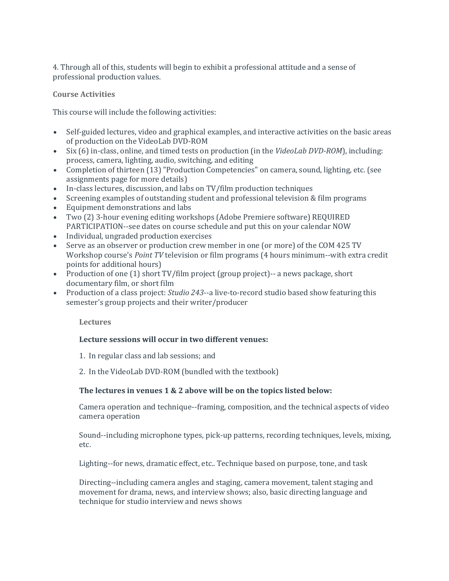4. Through all of this, students will begin to exhibit a professional attitude and a sense of professional production values.

## **Course Activities**

This course will include the following activities:

- Self-guided lectures, video and graphical examples, and interactive activities on the basic areas of production on the VideoLab DVD-ROM
- Six (6) in-class, online, and timed tests on production (in the *VideoLab DVD-ROM*), including: process, camera, lighting, audio, switching, and editing
- Completion of thirteen (13) "Production Competencies" on camera, sound, lighting, etc. (see assignments page for more details)
- In-class lectures, discussion, and labs on TV/film production techniques
- Screening examples of outstanding student and professional television & film programs
- Equipment demonstrations and labs
- Two (2) 3-hour evening editing workshops (Adobe Premiere software) REQUIRED PARTICIPATION--see dates on course schedule and put this on your calendar NOW
- Individual, ungraded production exercises
- Serve as an observer or production crew member in one (or more) of the COM 425 TV Workshop course's *Point TV* television or film programs (4 hours minimum--with extra credit points for additional hours)
- Production of one (1) short TV/film project (group project)-- a news package, short documentary film, or short film
- Production of a class project: *Studio 243*--a live-to-record studio based show featuring this semester's group projects and their writer/producer

### **Lectures**

### **Lecture sessions will occur in two different venues:**

- 1. In regular class and lab sessions; and
- 2. In the VideoLab DVD-ROM (bundled with the textbook)

### **The lectures in venues 1 & 2 above will be on the topics listed below:**

Camera operation and technique--framing, composition, and the technical aspects of video camera operation

Sound--including microphone types, pick-up patterns, recording techniques, levels, mixing, etc.

Lighting--for news, dramatic effect, etc.. Technique based on purpose, tone, and task

Directing--including camera angles and staging, camera movement, talent staging and movement for drama, news, and interview shows; also, basic directing language and technique for studio interview and news shows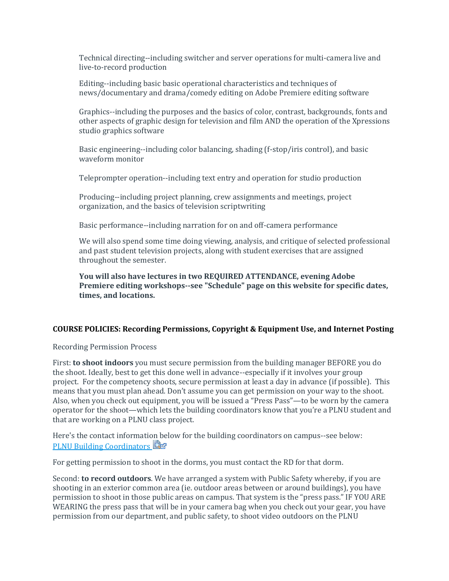Technical directing--including switcher and server operations for multi-camera live and live-to-record production

Editing--including basic basic operational characteristics and techniques of news/documentary and drama/comedy editing on Adobe Premiere editing software

Graphics--including the purposes and the basics of color, contrast, backgrounds, fonts and other aspects of graphic design for television and film AND the operation of the Xpressions studio graphics software

Basic engineering--including color balancing, shading (f-stop/iris control), and basic waveform monitor

Teleprompter operation--including text entry and operation for studio production

Producing--including project planning, crew assignments and meetings, project organization, and the basics of television scriptwriting

Basic performance--including narration for on and off-camera performance

We will also spend some time doing viewing, analysis, and critique of selected professional and past student television projects, along with student exercises that are assigned throughout the semester.

**You will also have lectures in two REQUIRED ATTENDANCE, evening Adobe Premiere editing workshops--see "Schedule" page on this website for specific dates, times, and locations.**

# **COURSE POLICIES: Recording Permissions, Copyright & Equipment Use, and Internet Posting**

Recording Permission Process

First: **to shoot indoors** you must secure permission from the building manager BEFORE you do the shoot. Ideally, best to get this done well in advance--especially if it involves your group project. For the competency shoots, secure permission at least a day in advance (if possible). This means that you must plan ahead. Don't assume you can get permission on your way to the shoot. Also, when you check out equipment, you will be issued a "Press Pass"—to be worn by the camera operator for the shoot—which lets the building coordinators know that you're a PLNU student and that are working on a PLNU class project.

Here's the contact information below for the building coordinators on campus--see below: [PLNU Building Coordinators](https://canvas.pointloma.edu/courses/31920/files/1106285/download?wrap=1)

For getting permission to shoot in the dorms, you must contact the RD for that dorm.

Second: **to record outdoors**. We have arranged a system with Public Safety whereby, if you are shooting in an exterior common area (ie. outdoor areas between or around buildings), you have permission to shoot in those public areas on campus. That system is the "press pass." IF YOU ARE WEARING the press pass that will be in your camera bag when you check out your gear, you have permission from our department, and public safety, to shoot video outdoors on the PLNU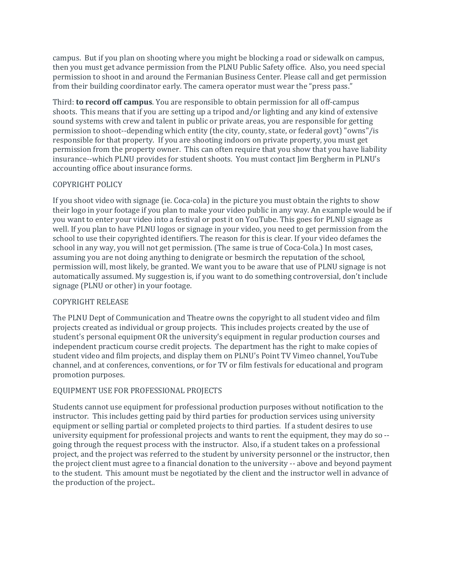campus. But if you plan on shooting where you might be blocking a road or sidewalk on campus, then you must get advance permission from the PLNU Public Safety office. Also, you need special permission to shoot in and around the Fermanian Business Center. Please call and get permission from their building coordinator early. The camera operator must wear the "press pass."

Third: **to record off campus**. You are responsible to obtain permission for all off-campus shoots. This means that if you are setting up a tripod and/or lighting and any kind of extensive sound systems with crew and talent in public or private areas, you are responsible for getting permission to shoot--depending which entity (the city, county, state, or federal govt) "owns"/is responsible for that property. If you are shooting indoors on private property, you must get permission from the property owner. This can often require that you show that you have liability insurance--which PLNU provides for student shoots. You must contact Jim Bergherm in PLNU's accounting office about insurance forms.

## COPYRIGHT POLICY

If you shoot video with signage (ie. Coca-cola) in the picture you must obtain the rights to show their logo in your footage if you plan to make your video public in any way. An example would be if you want to enter your video into a festival or post it on YouTube. This goes for PLNU signage as well. If you plan to have PLNU logos or signage in your video, you need to get permission from the school to use their copyrighted identifiers. The reason for this is clear. If your video defames the school in any way, you will not get permission. (The same is true of Coca-Cola.) In most cases, assuming you are not doing anything to denigrate or besmirch the reputation of the school, permission will, most likely, be granted. We want you to be aware that use of PLNU signage is not automatically assumed. My suggestion is, if you want to do something controversial, don't include signage (PLNU or other) in your footage.

### COPYRIGHT RELEASE

The PLNU Dept of Communication and Theatre owns the copyright to all student video and film projects created as individual or group projects. This includes projects created by the use of student's personal equipment OR the university's equipment in regular production courses and independent practicum course credit projects. The department has the right to make copies of student video and film projects, and display them on PLNU's Point TV Vimeo channel, YouTube channel, and at conferences, conventions, or for TV or film festivals for educational and program promotion purposes.

# EQUIPMENT USE FOR PROFESSIONAL PROJECTS

Students cannot use equipment for professional production purposes without notification to the instructor. This includes getting paid by third parties for production services using university equipment or selling partial or completed projects to third parties. If a student desires to use university equipment for professional projects and wants to rent the equipment, they may do so - going through the request process with the instructor. Also, if a student takes on a professional project, and the project was referred to the student by university personnel or the instructor, then the project client must agree to a financial donation to the university -- above and beyond payment to the student. This amount must be negotiated by the client and the instructor well in advance of the production of the project..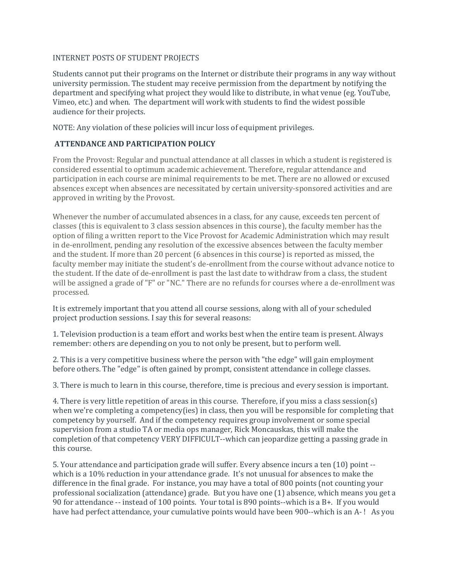### INTERNET POSTS OF STUDENT PROJECTS

Students cannot put their programs on the Internet or distribute their programs in any way without university permission. The student may receive permission from the department by notifying the department and specifying what project they would like to distribute, in what venue (eg. YouTube, Vimeo, etc.) and when. The department will work with students to find the widest possible audience for their projects.

NOTE: Any violation of these policies will incur loss of equipment privileges.

# **ATTENDANCE AND PARTICIPATION POLICY**

From the Provost: Regular and punctual attendance at all classes in which a student is registered is considered essential to optimum academic achievement. Therefore, regular attendance and participation in each course are minimal requirements to be met. There are no allowed or excused absences except when absences are necessitated by certain university-sponsored activities and are approved in writing by the Provost.

Whenever the number of accumulated absences in a class, for any cause, exceeds ten percent of classes (this is equivalent to 3 class session absences in this course), the faculty member has the option of filing a written report to the Vice Provost for Academic Administration which may result in de-enrollment, pending any resolution of the excessive absences between the faculty member and the student. If more than 20 percent (6 absences in this course) is reported as missed, the faculty member may initiate the student's de-enrollment from the course without advance notice to the student. If the date of de-enrollment is past the last date to withdraw from a class, the student will be assigned a grade of "F" or "NC." There are no refunds for courses where a de-enrollment was processed.

It is extremely important that you attend all course sessions, along with all of your scheduled project production sessions. I say this for several reasons:

1. Television production is a team effort and works best when the entire team is present. Always remember: others are depending on you to not only be present, but to perform well.

2. This is a very competitive business where the person with "the edge" will gain employment before others. The "edge" is often gained by prompt, consistent attendance in college classes.

3. There is much to learn in this course, therefore, time is precious and every session is important.

4. There is very little repetition of areas in this course. Therefore, if you miss a class session(s) when we're completing a competency(ies) in class, then you will be responsible for completing that competency by yourself. And if the competency requires group involvement or some special supervision from a studio TA or media ops manager, Rick Moncauskas, this will make the completion of that competency VERY DIFFICULT--which can jeopardize getting a passing grade in this course.

5. Your attendance and participation grade will suffer. Every absence incurs a ten (10) point - which is a 10% reduction in your attendance grade. It's not unusual for absences to make the difference in the final grade. For instance, you may have a total of 800 points (not counting your professional socialization (attendance) grade. But you have one (1) absence, which means you get a 90 for attendance -- instead of 100 points. Your total is 890 points--which is a B+. If you would have had perfect attendance, your cumulative points would have been 900--which is an A-! As you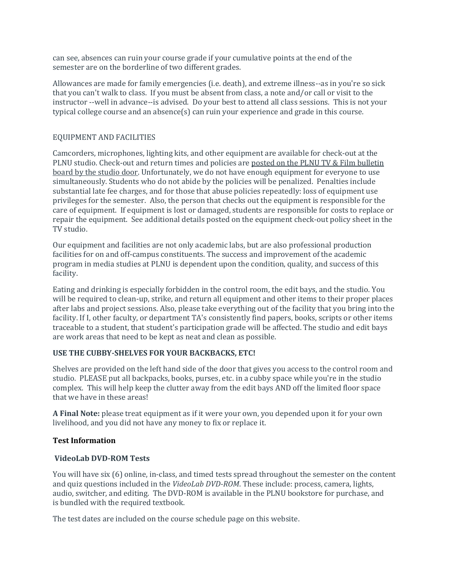can see, absences can ruin your course grade if your cumulative points at the end of the semester are on the borderline of two different grades.

Allowances are made for family emergencies (i.e. death), and extreme illness--as in you're so sick that you can't walk to class. If you must be absent from class, a note and/or call or visit to the instructor --well in advance--is advised. Do your best to attend all class sessions. This is not your typical college course and an absence(s) can ruin your experience and grade in this course.

## EQUIPMENT AND FACILITIES

Camcorders, microphones, lighting kits, and other equipment are available for check-out at the PLNU studio. Check-out and return times and policies are posted on the PLNU TV & Film bulletin board by the studio door. Unfortunately, we do not have enough equipment for everyone to use simultaneously. Students who do not abide by the policies will be penalized. Penalties include substantial late fee charges, and for those that abuse policies repeatedly: loss of equipment use privileges for the semester. Also, the person that checks out the equipment is responsible for the care of equipment. If equipment is lost or damaged, students are responsible for costs to replace or repair the equipment. See additional details posted on the equipment check-out policy sheet in the TV studio.

Our equipment and facilities are not only academic labs, but are also professional production facilities for on and off-campus constituents. The success and improvement of the academic program in media studies at PLNU is dependent upon the condition, quality, and success of this facility.

Eating and drinking is especially forbidden in the control room, the edit bays, and the studio. You will be required to clean-up, strike, and return all equipment and other items to their proper places after labs and project sessions. Also, please take everything out of the facility that you bring into the facility. If I, other faculty, or department TA's consistently find papers, books, scripts or other items traceable to a student, that student's participation grade will be affected. The studio and edit bays are work areas that need to be kept as neat and clean as possible.

# **USE THE CUBBY-SHELVES FOR YOUR BACKBACKS, ETC!**

Shelves are provided on the left hand side of the door that gives you access to the control room and studio. PLEASE put all backpacks, books, purses, etc. in a cubby space while you're in the studio complex. This will help keep the clutter away from the edit bays AND off the limited floor space that we have in these areas!

**A Final Note:** please treat equipment as if it were your own, you depended upon it for your own livelihood, and you did not have any money to fix or replace it.

# **Test Information**

### **VideoLab DVD-ROM Tests**

You will have six (6) online, in-class, and timed tests spread throughout the semester on the content and quiz questions included in the *VideoLab DVD-ROM*. These include: process, camera, lights, audio, switcher, and editing. The DVD-ROM is available in the PLNU bookstore for purchase, and is bundled with the required textbook.

The test dates are included on the course schedule page on this website.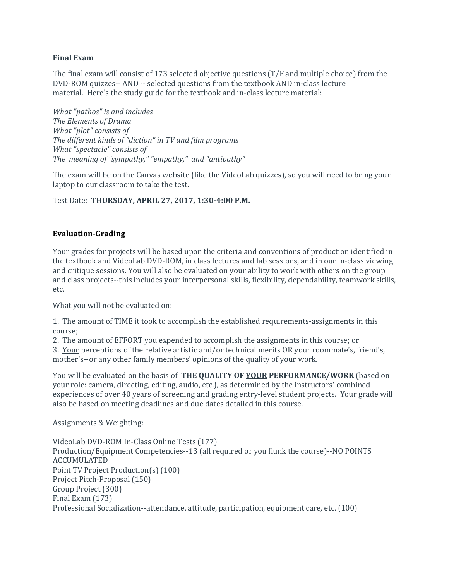## **Final Exam**

The final exam will consist of 173 selected objective questions (T/F and multiple choice) from the DVD-ROM quizzes-- AND -- selected questions from the textbook AND in-class lecture material. Here's the study guide for the textbook and in-class lecture material:

*What "pathos" is and includes The Elements of Drama What "plot" consists of The different kinds of "diction" in TV and film programs What "spectacle" consists of The meaning of "sympathy," "empathy," and "antipathy"*

The exam will be on the Canvas website (like the VideoLab quizzes), so you will need to bring your laptop to our classroom to take the test.

Test Date: **THURSDAY, APRIL 27, 2017, 1:30-4:00 P.M.**

# **Evaluation-Grading**

Your grades for projects will be based upon the criteria and conventions of production identified in the textbook and VideoLab DVD-ROM, in class lectures and lab sessions, and in our in-class viewing and critique sessions. You will also be evaluated on your ability to work with others on the group and class projects--this includes your interpersonal skills, flexibility, dependability, teamwork skills, etc.

What you will not be evaluated on:

1. The amount of TIME it took to accomplish the established requirements-assignments in this course;

2. The amount of EFFORT you expended to accomplish the assignments in this course; or 3. Your perceptions of the relative artistic and/or technical merits OR your roommate's, friend's, mother's--or any other family members' opinions of the quality of your work.

You will be evaluated on the basis of **THE QUALITY OF YOUR PERFORMANCE/WORK** (based on your role: camera, directing, editing, audio, etc.), as determined by the instructors' combined experiences of over 40 years of screening and grading entry-level student projects. Your grade will also be based on meeting deadlines and due dates detailed in this course.

### Assignments & Weighting:

VideoLab DVD-ROM In-Class Online Tests (177) Production/Equipment Competencies--13 (all required or you flunk the course)--NO POINTS ACCUMULATED Point TV Project Production(s) (100) Project Pitch-Proposal (150) Group Project (300) Final Exam (173) Professional Socialization--attendance, attitude, participation, equipment care, etc. (100)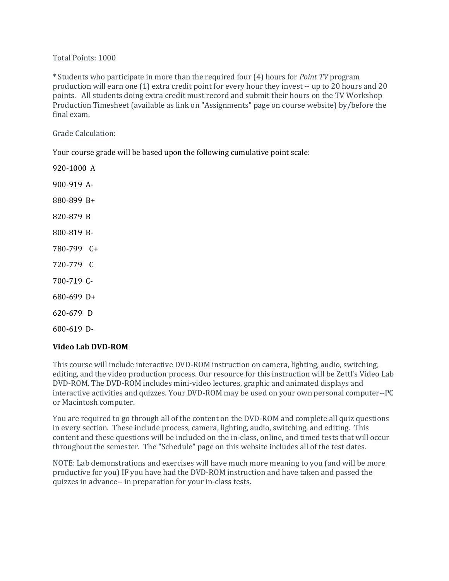## Total Points: 1000

\* Students who participate in more than the required four (4) hours for *Point TV* program production will earn one (1) extra credit point for every hour they invest -- up to 20 hours and 20 points. All students doing extra credit must record and submit their hours on the TV Workshop Production Timesheet (available as link on "Assignments" page on course website) by/before the final exam.

## Grade Calculation:

Your course grade will be based upon the following cumulative point scale:

920-1000 A 900-919 A-880-899 B+ 820-879 B 800-819 B-780-799 C+ 720-779 C 700-719 C-680-699 D+ 620-679 D 600-619 D-

# **Video Lab DVD-ROM**

This course will include interactive DVD-ROM instruction on camera, lighting, audio, switching, editing, and the video production process. Our resource for this instruction will be Zettl's Video Lab DVD-ROM. The DVD-ROM includes mini-video lectures, graphic and animated displays and interactive activities and quizzes. Your DVD-ROM may be used on your own personal computer--PC or Macintosh computer.

You are required to go through all of the content on the DVD-ROM and complete all quiz questions in every section. These include process, camera, lighting, audio, switching, and editing. This content and these questions will be included on the in-class, online, and timed tests that will occur throughout the semester. The "Schedule" page on this website includes all of the test dates.

NOTE: Lab demonstrations and exercises will have much more meaning to you (and will be more productive for you) IF you have had the DVD-ROM instruction and have taken and passed the quizzes in advance-- in preparation for your in-class tests.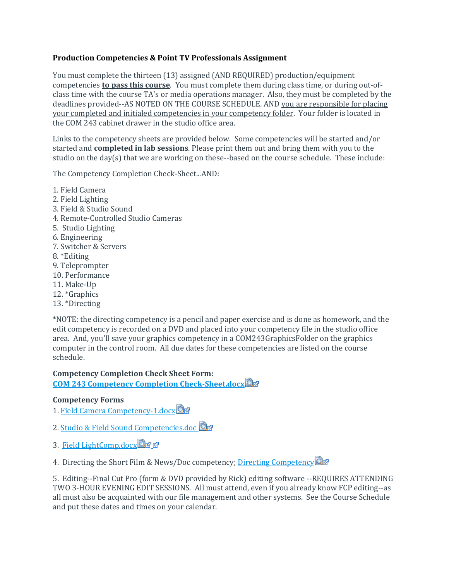# **Production Competencies & Point TV Professionals Assignment**

You must complete the thirteen (13) assigned (AND REQUIRED) production/equipment competencies **to pass this course**. You must complete them during class time, or during out-ofclass time with the course TA's or media operations manager. Also, they must be completed by the deadlines provided--AS NOTED ON THE COURSE SCHEDULE. AND you are responsible for placing your completed and initialed competencies in your competency folder. Your folder is located in the COM 243 cabinet drawer in the studio office area.

Links to the competency sheets are provided below. Some competencies will be started and/or started and **completed in lab sessions**. Please print them out and bring them with you to the studio on the day(s) that we are working on these--based on the course schedule. These include:

The Competency Completion Check-Sheet...AND:

1. Field Camera 2. Field Lighting 3. Field & Studio Sound 4. Remote-Controlled Studio Cameras 5. Studio Lighting 6. Engineering 7. Switcher & Servers 8. \*Editing 9. Teleprompter 10. Performance 11. Make-Up 12. \*Graphics 13. \*Directing

\*NOTE: the directing competency is a pencil and paper exercise and is done as homework, and the edit competency is recorded on a DVD and placed into your competency file in the studio office area. And, you'll save your graphics competency in a COM243GraphicsFolder on the graphics computer in the control room. All due dates for these competencies are listed on the course schedule.

# **Competency Completion Check Sheet Form: [COM 243 Competency Completion Check-Sheet.docx](https://canvas.pointloma.edu/courses/31920/files/1106321/download?wrap=1)**

# **Competency Forms**

- 1. [Field Camera Competency-1.docx](https://canvas.pointloma.edu/courses/31920/files/1106324/download?wrap=1)
- 2. [Studio & Field Sound Competencies.doc](https://canvas.pointloma.edu/courses/31920/files/1106329/download?wrap=1)
- 3. [Field LightComp.docx](https://canvas.pointloma.edu/courses/31920/files/1106328/download?wrap=1)图函图

4. Directing the Short Film & News/Doc competency; [Directing Competency](https://canvas.pointloma.edu/courses/31920/files/1106330/download?wrap=1)

5. Editing--Final Cut Pro (form & DVD provided by Rick) editing software --REQUIRES ATTENDING TWO 3-HOUR EVENING EDIT SESSIONS. All must attend, even if you already know FCP editing--as all must also be acquainted with our file management and other systems. See the Course Schedule and put these dates and times on your calendar.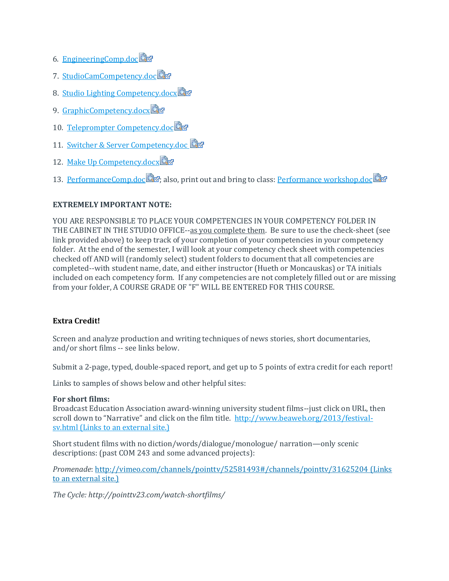- 6. [EngineeringComp.doc](https://canvas.pointloma.edu/courses/31920/files/1106304/download?wrap=1)
- 7. StudioCamCompetency.doc
- 8. [Studio Lighting Competency.docx](https://canvas.pointloma.edu/courses/31920/files/1106306/download?wrap=1)
- 9. [GraphicCompetency.docx](https://canvas.pointloma.edu/courses/31920/files/1106309/download?wrap=1)
- 10. [Teleprompter Competency.doc](https://canvas.pointloma.edu/courses/31920/files/1106308/download?wrap=1)
- 11. [Switcher & Server Competency.doc](https://canvas.pointloma.edu/courses/31920/files/1106287/download?wrap=1)
- 12. [Make Up Competency.docx](https://canvas.pointloma.edu/courses/31920/files/1106313/download?wrap=1)
- 13. [PerformanceComp.doc](https://canvas.pointloma.edu/courses/31920/files/1106314/download?wrap=1) **3**7[;](https://canvas.pointloma.edu/courses/31920/files/1106314/download?wrap=1) also, print out and bring to class: [Performance workshop.doc](https://canvas.pointloma.edu/courses/31920/files/1106315/download?wrap=1)

# **EXTREMELY IMPORTANT NOTE:**

YOU ARE RESPONSIBLE TO PLACE YOUR COMPETENCIES IN YOUR COMPETENCY FOLDER IN THE CABINET IN THE STUDIO OFFICE--as you complete them. Be sure to use the check-sheet (see link provided above) to keep track of your completion of your competencies in your competency folder. At the end of the semester, I will look at your competency check sheet with competencies checked off AND will (randomly select) student folders to document that all competencies are completed--with student name, date, and either instructor (Hueth or Moncauskas) or TA initials included on each competency form. If any competencies are not completely filled out or are missing from your folder, A COURSE GRADE OF "F" WILL BE ENTERED FOR THIS COURSE.

# **Extra Credit!**

Screen and analyze production and writing techniques of news stories, short documentaries, and/or short films -- see links below.

Submit a 2-page, typed, double-spaced report, and get up to 5 points of extra credit for each report!

Links to samples of shows below and other helpful sites:

# **For short films:**

Broadcast Education Association award-winning university student films--just click on URL, then scroll down to "Narrative" and click on the film title. [http://www.beaweb.org/2013/festival](http://www.beaweb.org/2013/festival-sv.html)sv.html (Links to an [external](http://www.beaweb.org/2013/festival-sv.html) site.)

Short student films with no diction/words/dialogue/monologue/ narration—only scenic descriptions: (past COM 243 and some advanced projects):

*Promenade*: <http://vimeo.com/channels/pointtv/52581493#/channels/pointtv/31625204> (Links to an [external](http://vimeo.com/channels/pointtv/52581493#/channels/pointtv/31625204) site.)

*The Cycle: http://pointtv23.com/watch-shortfilms/*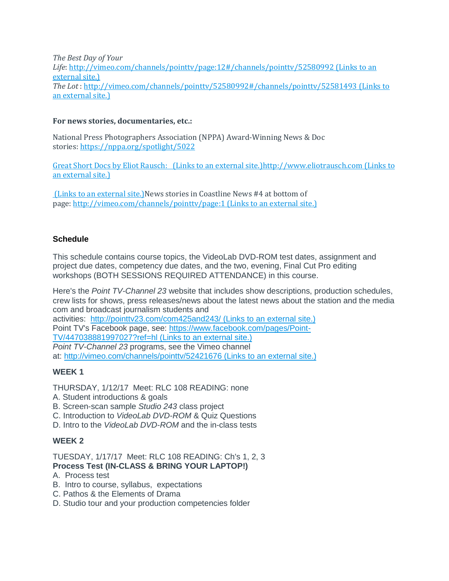*The Best Day of Your Life*: <http://vimeo.com/channels/pointtv/page:12#/channels/pointtv/52580992> (Links to an [external](http://vimeo.com/channels/pointtv/page:12#/channels/pointtv/52580992) site.) *The Lot* : <http://vimeo.com/channels/pointtv/52580992#/channels/pointtv/52581493> (Links to an [external](http://vimeo.com/channels/pointtv/52580992#/channels/pointtv/52581493) site.)

# **For news stories, documentaries, etc.:**

National Press Photographers Association (NPPA) Award-Winning News & Doc stories: <https://nppa.org/spotlight/5022>

[Great Short Docs by Eliot Rausch: \(Links](https://nppa.org/spotlight/5022) to an external site.[\)http://www.eliotrausch.com](https://nppa.org/spotlight/5022) (Links to an [external](http://www.eliotrausch.com/) site.)

(Links to an [external](http://www.eliotrausch.com/) site.)News stories in Coastline News #4 at bottom of page: <http://vimeo.com/channels/pointtv/page:1> (Links to an external site.)

# **Schedule**

This schedule contains course topics, the VideoLab DVD-ROM test dates, assignment and project due dates, competency due dates, and the two, evening, Final Cut Pro editing workshops (BOTH SESSIONS REQUIRED ATTENDANCE) in this course.

Here's the *Point TV-Channel 23* website that includes show descriptions, production schedules, crew lists for shows, press releases/news about the latest news about the station and the media com and broadcast journalism students and activities: <http://pointtv23.com/com425and243/> (Links to an external site.) Point TV's Facebook page, see: [https://www.facebook.com/pages/Point-](https://www.facebook.com/pages/Point-TV/447038881997027?ref=hl)[TV/447038881997027?ref=hl](https://www.facebook.com/pages/Point-TV/447038881997027?ref=hl) (Links to an external site.) *Point TV-Channel 23* programs, see the Vimeo channel at: <http://vimeo.com/channels/pointtv/52421676> (Links to an external site.)

# **WEEK 1**

THURSDAY, 1/12/17 Meet: RLC 108 READING: none

- A. Student introductions & goals
- B. Screen-scan sample *Studio 243* class project
- C. Introduction to *VideoLab DVD-ROM* & Quiz Questions
- D. Intro to the *VideoLab DVD-ROM* and the in-class tests

# **WEEK 2**

TUESDAY, 1/17/17 Meet: RLC 108 READING: Ch's 1, 2, 3 **Process Test (IN-CLASS & BRING YOUR LAPTOP!)**

- A. Process test
- B. Intro to course, syllabus, expectations
- C. Pathos & the Elements of Drama
- D. Studio tour and your production competencies folder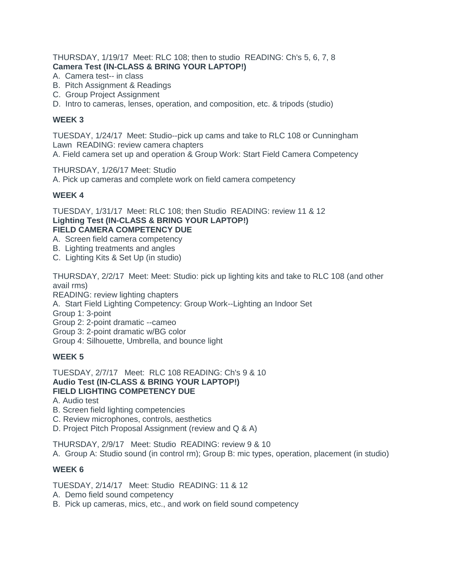THURSDAY, 1/19/17 Meet: RLC 108; then to studio READING: Ch's 5, 6, 7, 8 **Camera Test (IN-CLASS & BRING YOUR LAPTOP!)**

- A. Camera test-- in class
- B. Pitch Assignment & Readings
- C. Group Project Assignment
- D. Intro to cameras, lenses, operation, and composition, etc. & tripods (studio)

## **WEEK 3**

TUESDAY, 1/24/17 Meet: Studio--pick up cams and take to RLC 108 or Cunningham Lawn READING: review camera chapters A. Field camera set up and operation & Group Work: Start Field Camera Competency

THURSDAY, 1/26/17 Meet: Studio A. Pick up cameras and complete work on field camera competency

# **WEEK 4**

TUESDAY, 1/31/17 Meet: RLC 108; then Studio READING: review 11 & 12 **Lighting Test (IN-CLASS & BRING YOUR LAPTOP!) FIELD CAMERA COMPETENCY DUE**

- A. Screen field camera competency
- B. Lighting treatments and angles
- C. Lighting Kits & Set Up (in studio)

THURSDAY, 2/2/17 Meet: Meet: Studio: pick up lighting kits and take to RLC 108 (and other avail rms)

READING: review lighting chapters

A. Start Field Lighting Competency: Group Work--Lighting an Indoor Set

Group 1: 3-point

Group 2: 2-point dramatic --cameo

Group 3: 2-point dramatic w/BG color

Group 4: Silhouette, Umbrella, and bounce light

# **WEEK 5**

TUESDAY, 2/7/17 Meet: RLC 108 READING: Ch's 9 & 10 **Audio Test (IN-CLASS & BRING YOUR LAPTOP!) FIELD LIGHTING COMPETENCY DUE**

- A. Audio test
- B. Screen field lighting competencies
- C. Review microphones, controls, aesthetics
- D. Project Pitch Proposal Assignment (review and Q & A)

THURSDAY, 2/9/17 Meet: Studio READING: review 9 & 10

A. Group A: Studio sound (in control rm); Group B: mic types, operation, placement (in studio)

# **WEEK 6**

TUESDAY, 2/14/17 Meet: Studio READING: 11 & 12

- A. Demo field sound competency
- B. Pick up cameras, mics, etc., and work on field sound competency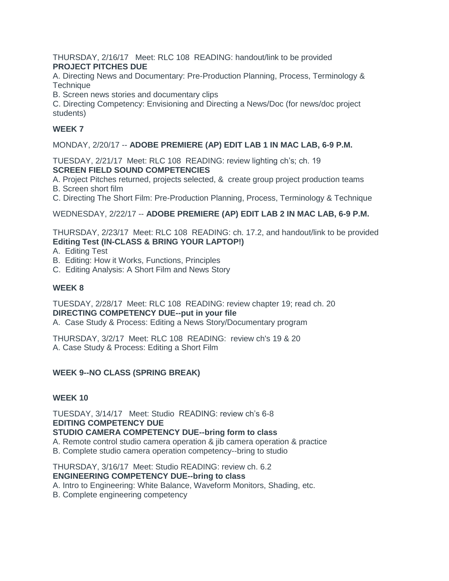THURSDAY, 2/16/17 Meet: RLC 108 READING: handout/link to be provided **PROJECT PITCHES DUE**

A. Directing News and Documentary: Pre-Production Planning, Process, Terminology & **Technique** 

B. Screen news stories and documentary clips

C. Directing Competency: Envisioning and Directing a News/Doc (for news/doc project students)

# **WEEK 7**

MONDAY, 2/20/17 -- **ADOBE PREMIERE (AP) EDIT LAB 1 IN MAC LAB, 6-9 P.M.**

TUESDAY, 2/21/17 Meet: RLC 108 READING: review lighting ch's; ch. 19 **SCREEN FIELD SOUND COMPETENCIES**

- A. Project Pitches returned, projects selected, & create group project production teams B. Screen short film
- C. Directing The Short Film: Pre-Production Planning, Process, Terminology & Technique

WEDNESDAY, 2/22/17 -- **ADOBE PREMIERE (AP) EDIT LAB 2 IN MAC LAB, 6-9 P.M.**

THURSDAY, 2/23/17 Meet: RLC 108 READING: ch. 17.2, and handout/link to be provided **Editing Test (IN-CLASS & BRING YOUR LAPTOP!)**

- A. Editing Test
- B. Editing: How it Works, Functions, Principles
- C. Editing Analysis: A Short Film and News Story

## **WEEK 8**

TUESDAY, 2/28/17 Meet: RLC 108 READING: review chapter 19; read ch. 20 **DIRECTING COMPETENCY DUE--put in your file**

A. Case Study & Process: Editing a News Story/Documentary program

THURSDAY, 3/2/17 Meet: RLC 108 READING: review ch's 19 & 20 A. Case Study & Process: Editing a Short Film

# **WEEK 9--NO CLASS (SPRING BREAK)**

### **WEEK 10**

TUESDAY, 3/14/17 Meet: Studio READING: review ch's 6-8 **EDITING COMPETENCY DUE**

### **STUDIO CAMERA COMPETENCY DUE--bring form to class**

- A. Remote control studio camera operation & jib camera operation & practice
- B. Complete studio camera operation competency--bring to studio

THURSDAY, 3/16/17 Meet: Studio READING: review ch. 6.2 **ENGINEERING COMPETENCY DUE--bring to class**

A. Intro to Engineering: White Balance, Waveform Monitors, Shading, etc.

B. Complete engineering competency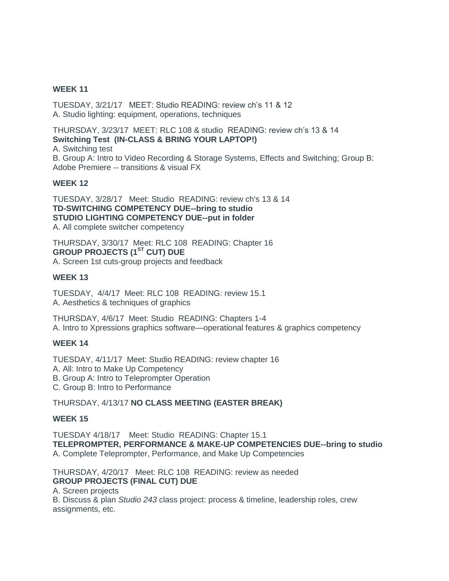# **WEEK 11**

TUESDAY, 3/21/17 MEET: Studio READING: review ch's 11 & 12 A. Studio lighting: equipment, operations, techniques

THURSDAY, 3/23/17 MEET: RLC 108 & studio READING: review ch's 13 & 14 **Switching Test (IN-CLASS & BRING YOUR LAPTOP!)**

A. Switching test

B. Group A: Intro to Video Recording & Storage Systems, Effects and Switching; Group B: Adobe Premiere -- transitions & visual FX

## **WEEK 12**

TUESDAY, 3/28/17 Meet: Studio READING: review ch's 13 & 14 **TD-SWITCHING COMPETENCY DUE--bring to studio STUDIO LIGHTING COMPETENCY DUE--put in folder** A. All complete switcher competency

THURSDAY, 3/30/17 Meet: RLC 108 READING: Chapter 16 **GROUP PROJECTS (1ST CUT) DUE** A. Screen 1st cuts-group projects and feedback

## **WEEK 13**

TUESDAY, 4/4/17 Meet: RLC 108 READING: review 15.1 A. Aesthetics & techniques of graphics

THURSDAY, 4/6/17 Meet: Studio READING: Chapters 1-4 A. Intro to Xpressions graphics software—operational features & graphics competency

### **WEEK 14**

TUESDAY, 4/11/17 Meet: Studio READING: review chapter 16 A. All: Intro to Make Up Competency B. Group A: Intro to Teleprompter Operation C. Group B: Intro to Performance

### THURSDAY, 4/13/17 **NO CLASS MEETING (EASTER BREAK)**

### **WEEK 15**

TUESDAY 4/18/17 Meet: Studio READING: Chapter 15.1 **TELEPROMPTER, PERFORMANCE & MAKE-UP COMPETENCIES DUE--bring to studio** A. Complete Teleprompter, Performance, and Make Up Competencies

THURSDAY, 4/20/17 Meet: RLC 108 READING: review as needed **GROUP PROJECTS (FINAL CUT) DUE** A. Screen projects B. Discuss & plan *Studio 243* class project: process & timeline, leadership roles, crew assignments, etc.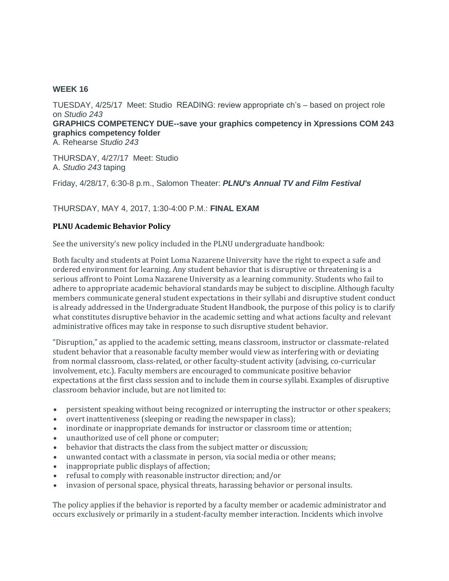## **WEEK 16**

TUESDAY, 4/25/17 Meet: Studio READING: review appropriate ch's – based on project role on *Studio 243* **GRAPHICS COMPETENCY DUE--save your graphics competency in Xpressions COM 243 graphics competency folder** A. Rehearse *Studio 243*

THURSDAY, 4/27/17 Meet: Studio A. *Studio 243* taping

Friday, 4/28/17, 6:30-8 p.m., Salomon Theater: *PLNU's Annual TV and Film Festival*

# THURSDAY, MAY 4, 2017, 1:30-4:00 P.M.: **FINAL EXAM**

### **PLNU Academic Behavior Policy**

See the university's new policy included in the PLNU undergraduate handbook:

Both faculty and students at Point Loma Nazarene University have the right to expect a safe and ordered environment for learning. Any student behavior that is disruptive or threatening is a serious affront to Point Loma Nazarene University as a learning community. Students who fail to adhere to appropriate academic behavioral standards may be subject to discipline. Although faculty members communicate general student expectations in their syllabi and disruptive student conduct is already addressed in the Undergraduate Student Handbook, the purpose of this policy is to clarify what constitutes disruptive behavior in the academic setting and what actions faculty and relevant administrative offices may take in response to such disruptive student behavior.

"Disruption," as applied to the academic setting, means classroom, instructor or classmate-related student behavior that a reasonable faculty member would view as interfering with or deviating from normal classroom, class-related, or other faculty-student activity (advising, co-curricular involvement, etc.). Faculty members are encouraged to communicate positive behavior expectations at the first class session and to include them in course syllabi. Examples of disruptive classroom behavior include, but are not limited to:

- persistent speaking without being recognized or interrupting the instructor or other speakers;
- overt inattentiveness (sleeping or reading the newspaper in class);
- inordinate or inappropriate demands for instructor or classroom time or attention;
- unauthorized use of cell phone or computer;
- behavior that distracts the class from the subject matter or discussion;
- unwanted contact with a classmate in person, via social media or other means;
- inappropriate public displays of affection;
- refusal to comply with reasonable instructor direction; and/or
- invasion of personal space, physical threats, harassing behavior or personal insults.

The policy applies if the behavior is reported by a faculty member or academic administrator and occurs exclusively or primarily in a student-faculty member interaction. Incidents which involve